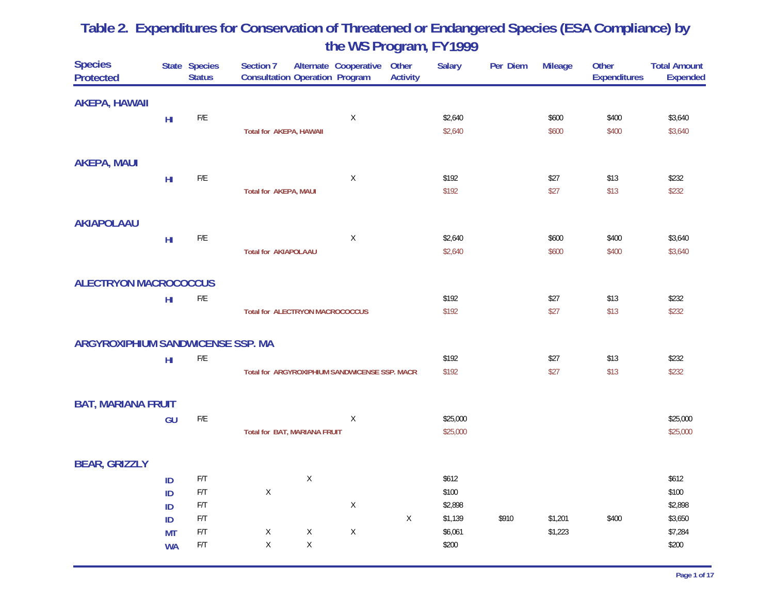| <b>Species</b><br><b>Protected</b> |                 | State Species<br><b>Status</b> | Section 7<br><b>Consultation Operation Program</b> |             | Alternate Cooperative                         | Other<br><b>Activity</b> | <b>Salary</b> | Per Diem | <b>Mileage</b> | Other<br><b>Expenditures</b> | <b>Total Amount</b><br><b>Expended</b> |
|------------------------------------|-----------------|--------------------------------|----------------------------------------------------|-------------|-----------------------------------------------|--------------------------|---------------|----------|----------------|------------------------------|----------------------------------------|
| <b>AKEPA, HAWAII</b>               |                 |                                |                                                    |             |                                               |                          |               |          |                |                              |                                        |
|                                    | H <sub>II</sub> | $\mathsf{F}/\mathsf{E}$        |                                                    |             | $\mathsf X$                                   |                          | \$2,640       |          | \$600          | \$400                        | \$3,640                                |
|                                    |                 |                                | <b>Total for AKEPA, HAWAII</b>                     |             |                                               |                          | \$2,640       |          | \$600          | \$400                        | \$3,640                                |
| <b>AKEPA, MAUI</b>                 |                 |                                |                                                    |             |                                               |                          |               |          |                |                              |                                        |
|                                    | H <sub>II</sub> | ${\sf F/E}$                    |                                                    |             | $\mathsf X$                                   |                          | \$192         |          | \$27           | \$13                         | \$232                                  |
|                                    |                 |                                | <b>Total for AKEPA, MAUI</b>                       |             |                                               |                          | \$192         |          | \$27           | \$13                         | \$232                                  |
| <b>AKIAPOLAAU</b>                  |                 |                                |                                                    |             |                                               |                          |               |          |                |                              |                                        |
|                                    | $H\!I$          | $\mathsf{F}/\mathsf{E}$        |                                                    |             | X                                             |                          | \$2,640       |          | \$600          | \$400                        | \$3,640                                |
|                                    |                 |                                | <b>Total for AKIAPOLAAU</b>                        |             |                                               |                          | \$2,640       |          | \$600          | \$400                        | \$3,640                                |
| <b>ALECTRYON MACROCOCCUS</b>       |                 |                                |                                                    |             |                                               |                          |               |          |                |                              |                                        |
|                                    | H <sub>II</sub> | $\mathsf{F}/\mathsf{E}$        |                                                    |             |                                               |                          | \$192         |          | \$27           | \$13                         | \$232                                  |
|                                    |                 |                                | <b>Total for ALECTRYON MACROCOCCUS</b>             |             |                                               |                          | \$192         |          | \$27           | \$13                         | \$232                                  |
| ARGYROXIPHIUM SANDWICENSE SSP. MA  |                 |                                |                                                    |             |                                               |                          |               |          |                |                              |                                        |
|                                    | H <sub>II</sub> | $\mathsf{F}/\mathsf{E}$        |                                                    |             |                                               |                          | \$192         |          | \$27           | \$13                         | \$232                                  |
|                                    |                 |                                |                                                    |             | Total for ARGYROXIPHIUM SANDWICENSE SSP. MACR |                          | \$192         |          | \$27           | \$13                         | \$232                                  |
| <b>BAT, MARIANA FRUIT</b>          |                 |                                |                                                    |             |                                               |                          |               |          |                |                              |                                        |
|                                    | GU              | $\mathsf{F}/\mathsf{E}$        |                                                    |             | $\mathsf X$                                   |                          | \$25,000      |          |                |                              | \$25,000                               |
|                                    |                 |                                | Total for BAT, MARIANA FRUIT                       |             |                                               |                          | \$25,000      |          |                |                              | \$25,000                               |
| <b>BEAR, GRIZZLY</b>               |                 |                                |                                                    |             |                                               |                          |               |          |                |                              |                                        |
|                                    | ID              | $\mathsf{F}/\mathsf{T}$        |                                                    | Χ           |                                               |                          | \$612         |          |                |                              | \$612                                  |
|                                    | ID              | $\mathsf{F}/\mathsf{T}$        | $\mathsf X$                                        |             |                                               |                          | \$100         |          |                |                              | \$100                                  |
|                                    | ID              | $\mathsf{F}/\mathsf{T}$        |                                                    |             | $\mathsf X$                                   |                          | \$2,898       |          |                |                              | \$2,898                                |
|                                    | ID              | $\mathsf{F}/\mathsf{T}$        |                                                    |             |                                               | $\mathsf X$              | \$1,139       | \$910    | \$1,201        | \$400                        | \$3,650                                |
|                                    | <b>MT</b>       | F/T                            | Χ                                                  | Χ           | $\mathsf X$                                   |                          | \$6,061       |          | \$1,223        |                              | \$7,284                                |
|                                    | <b>WA</b>       | $\mathsf{F}/\mathsf{T}$        | X                                                  | $\mathsf X$ |                                               |                          | \$200         |          |                |                              | \$200                                  |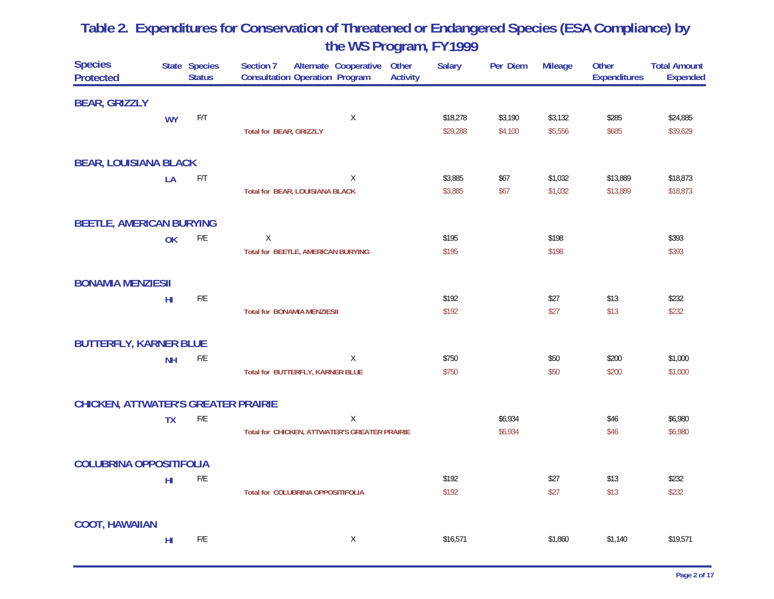| <b>Species</b><br><b>Protected</b>         |                 | State Species<br><b>Status</b> | Other<br>Section 7<br>Alternate Cooperative<br><b>Consultation Operation Program</b><br><b>Activity</b> | <b>Salary</b> | Per Diem | <b>Mileage</b> | Other<br><b>Expenditures</b> | <b>Total Amount</b><br><b>Expended</b> |
|--------------------------------------------|-----------------|--------------------------------|---------------------------------------------------------------------------------------------------------|---------------|----------|----------------|------------------------------|----------------------------------------|
| <b>BEAR, GRIZZLY</b>                       |                 |                                |                                                                                                         |               |          |                |                              |                                        |
|                                            | <b>WY</b>       | F/T                            | X                                                                                                       | \$18,278      | \$3,190  | \$3,132        | \$285                        | \$24,885                               |
|                                            |                 |                                | <b>Total for BEAR, GRIZZLY</b>                                                                          | \$29,288      | \$4,100  | \$5,556        | \$685                        | \$39,629                               |
| <b>BEAR, LOUISIANA BLACK</b>               |                 |                                |                                                                                                         |               |          |                |                              |                                        |
|                                            | LA              | $\mathsf{F}/\mathsf{T}$        | Χ                                                                                                       | \$3,885       | \$67     | \$1,032        | \$13,889                     | \$18,873                               |
|                                            |                 |                                | <b>Total for BEAR, LOUISIANA BLACK</b>                                                                  | \$3,885       | \$67     | \$1,032        | \$13,889                     | \$18,873                               |
| <b>BEETLE, AMERICAN BURYING</b>            |                 |                                |                                                                                                         |               |          |                |                              |                                        |
|                                            | OK              | $\mathsf{F}/\mathsf{E}$        | X                                                                                                       | \$195         |          | \$198          |                              | \$393                                  |
|                                            |                 |                                | <b>Total for BEETLE, AMERICAN BURYING</b>                                                               | \$195         |          | \$198          |                              | \$393                                  |
| <b>BONAMIA MENZIESII</b>                   |                 |                                |                                                                                                         |               |          |                |                              |                                        |
|                                            | H <sub>II</sub> | $\mathsf{F}/\mathsf{E}$        |                                                                                                         | \$192         |          | \$27           | \$13                         | \$232                                  |
|                                            |                 |                                | <b>Total for BONAMIA MENZIESII</b>                                                                      | \$192         |          | \$27           | \$13                         | \$232                                  |
| <b>BUTTERFLY, KARNER BLUE</b>              |                 |                                |                                                                                                         |               |          |                |                              |                                        |
|                                            | <b>NH</b>       | F/E                            | X                                                                                                       | \$750         |          | \$50           | \$200                        | \$1,000                                |
|                                            |                 |                                | Total for BUTTERFLY, KARNER BLUE                                                                        | \$750         |          | \$50           | \$200                        | \$1,000                                |
| <b>CHICKEN, ATTWATER'S GREATER PRAIRIE</b> |                 |                                |                                                                                                         |               |          |                |                              |                                        |
|                                            | <b>TX</b>       | ${\sf F/E}$                    | $\mathsf X$                                                                                             |               | \$6,934  |                | \$46                         | \$6,980                                |
|                                            |                 |                                | Total for CHICKEN, ATTWATER'S GREATER PRAIRIE                                                           |               | \$6,934  |                | \$46                         | \$6,980                                |
| <b>COLUBRINA OPPOSITIFOLIA</b>             |                 |                                |                                                                                                         |               |          |                |                              |                                        |
|                                            | $H\!I$          | $\mathsf{F}/\mathsf{E}$        |                                                                                                         | \$192         |          | \$27           | \$13                         | \$232                                  |
|                                            |                 |                                | <b>Total for COLUBRINA OPPOSITIFOLIA</b>                                                                | \$192         |          | \$27           | \$13                         | \$232                                  |
| <b>COOT, HAWAIIAN</b>                      |                 |                                |                                                                                                         |               |          |                |                              |                                        |
|                                            | $H\!I$          | F/E                            | X                                                                                                       | \$16,571      |          | \$1,860        | \$1,140                      | \$19,571                               |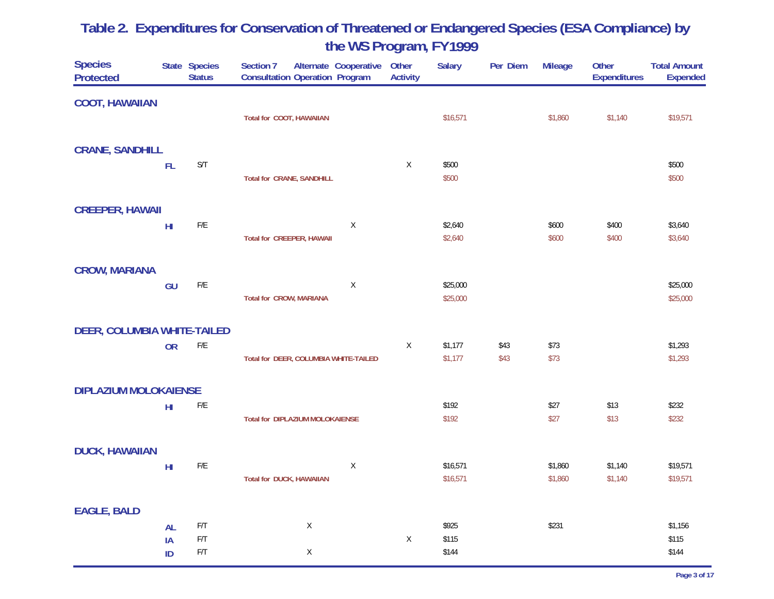| <b>Species</b><br><b>Protected</b> |                 | State Species<br><b>Status</b> | Section 7<br><b>Consultation Operation Program</b> | Alternate Cooperative | Other<br><b>Activity</b> | <b>Salary</b> | Per Diem | <b>Mileage</b> | Other<br><b>Expenditures</b> | <b>Total Amount</b><br><b>Expended</b> |
|------------------------------------|-----------------|--------------------------------|----------------------------------------------------|-----------------------|--------------------------|---------------|----------|----------------|------------------------------|----------------------------------------|
| <b>COOT, HAWAIIAN</b>              |                 |                                |                                                    |                       |                          |               |          |                |                              |                                        |
|                                    |                 |                                | Total for COOT, HAWAIIAN                           |                       |                          | \$16,571      |          | \$1,860        | \$1,140                      | \$19,571                               |
| <b>CRANE, SANDHILL</b>             |                 |                                |                                                    |                       |                          |               |          |                |                              |                                        |
|                                    | FL              | $\mathsf{S}/\mathsf{T}$        |                                                    |                       | X                        | \$500         |          |                |                              | \$500                                  |
|                                    |                 |                                | <b>Total for CRANE, SANDHILL</b>                   |                       |                          | \$500         |          |                |                              | \$500                                  |
| <b>CREEPER, HAWAII</b>             |                 |                                |                                                    |                       |                          |               |          |                |                              |                                        |
|                                    | H <sub>II</sub> | $\mathsf{F}/\mathsf{E}$        |                                                    | $\mathsf X$           |                          | \$2,640       |          | \$600          | \$400                        | \$3,640                                |
|                                    |                 |                                | <b>Total for CREEPER, HAWAII</b>                   |                       |                          | \$2,640       |          | \$600          | \$400                        | \$3,640                                |
| <b>CROW, MARIANA</b>               |                 |                                |                                                    |                       |                          |               |          |                |                              |                                        |
|                                    | GU              | $\mathsf{F}/\mathsf{E}$        |                                                    | $\mathsf X$           |                          | \$25,000      |          |                |                              | \$25,000                               |
|                                    |                 |                                | <b>Total for CROW, MARIANA</b>                     |                       |                          | \$25,000      |          |                |                              | \$25,000                               |
| <b>DEER, COLUMBIA WHITE-TAILED</b> |                 |                                |                                                    |                       |                          |               |          |                |                              |                                        |
|                                    | <b>OR</b>       | $\mathsf{F}/\mathsf{E}$        |                                                    |                       | X                        | \$1,177       | \$43     | \$73           |                              | \$1,293                                |
|                                    |                 |                                | Total for DEER, COLUMBIA WHITE-TAILED              |                       |                          | \$1,177       | \$43     | \$73           |                              | \$1,293                                |
| <b>DIPLAZIUM MOLOKAIENSE</b>       |                 |                                |                                                    |                       |                          |               |          |                |                              |                                        |
|                                    | H <sub>II</sub> | $\mathsf{F}/\mathsf{E}$        |                                                    |                       |                          | \$192         |          | \$27           | \$13                         | \$232                                  |
|                                    |                 |                                | Total for DIPLAZIUM MOLOKAIENSE                    |                       |                          | \$192         |          | \$27           | \$13                         | \$232                                  |
| <b>DUCK, HAWAIIAN</b>              |                 |                                |                                                    |                       |                          |               |          |                |                              |                                        |
|                                    | H <sub>II</sub> | $\mathsf{F}/\mathsf{E}$        |                                                    | $\mathsf X$           |                          | \$16,571      |          | \$1,860        | \$1,140                      | \$19,571                               |
|                                    |                 |                                | <b>Total for DUCK, HAWAIIAN</b>                    |                       |                          | \$16,571      |          | \$1,860        | \$1,140                      | \$19,571                               |
| <b>EAGLE, BALD</b>                 |                 |                                |                                                    |                       |                          |               |          |                |                              |                                        |
|                                    | <b>AL</b>       | $\mathsf{F}/\mathsf{T}$        | $\mathsf X$                                        |                       |                          | \$925         |          | \$231          |                              | \$1,156                                |
|                                    | IA              | $\mathsf{F}/\mathsf{T}$        |                                                    |                       | $\mathsf X$              | \$115         |          |                |                              | \$115                                  |
|                                    | ID              | $\mathsf{F}/\mathsf{T}$        | X                                                  |                       |                          | \$144         |          |                |                              | \$144                                  |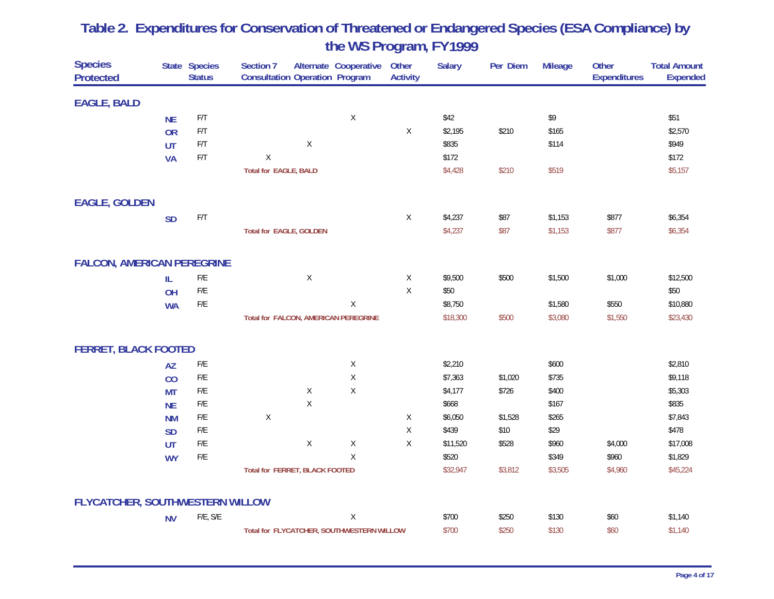| <b>Species</b><br><b>Protected</b> |           | State Species<br><b>Status</b> | Section 7<br><b>Consultation Operation Program</b> |             | Alternate Cooperative                     | Other<br><b>Activity</b> | <b>Salary</b> | Per Diem | <b>Mileage</b> | Other<br><b>Expenditures</b> | <b>Total Amount</b><br><b>Expended</b> |
|------------------------------------|-----------|--------------------------------|----------------------------------------------------|-------------|-------------------------------------------|--------------------------|---------------|----------|----------------|------------------------------|----------------------------------------|
| <b>EAGLE, BALD</b>                 |           |                                |                                                    |             |                                           |                          |               |          |                |                              |                                        |
|                                    | <b>NE</b> | $\mathsf{F}/\mathsf{T}$        |                                                    |             | $\mathsf X$                               |                          | \$42          |          | \$9            |                              | \$51                                   |
|                                    | <b>OR</b> | $\mathsf{F}/\mathsf{T}$        |                                                    |             |                                           | X                        | \$2,195       | \$210    | \$165          |                              | \$2,570                                |
|                                    | <b>UT</b> | F/T                            |                                                    | Χ           |                                           |                          | \$835         |          | \$114          |                              | \$949                                  |
|                                    | <b>VA</b> | F/T                            | $\mathsf X$                                        |             |                                           |                          | \$172         |          |                |                              | \$172                                  |
|                                    |           |                                | <b>Total for EAGLE, BALD</b>                       |             |                                           |                          | \$4,428       | \$210    | \$519          |                              | \$5,157                                |
| <b>EAGLE, GOLDEN</b>               |           |                                |                                                    |             |                                           |                          |               |          |                |                              |                                        |
|                                    | <b>SD</b> | $\mathsf{F}/\mathsf{T}$        |                                                    |             |                                           | $\mathsf X$              | \$4,237       | \$87     | \$1,153        | \$877                        | \$6,354                                |
|                                    |           |                                | <b>Total for EAGLE, GOLDEN</b>                     |             |                                           |                          | \$4,237       | \$87     | \$1,153        | \$877                        | \$6,354                                |
| <b>FALCON, AMERICAN PEREGRINE</b>  |           |                                |                                                    |             |                                           |                          |               |          |                |                              |                                        |
|                                    | IL.       | ${\sf F/E}$                    |                                                    | $\mathsf X$ |                                           | $\mathsf X$              | \$9,500       | \$500    | \$1,500        | \$1,000                      | \$12,500                               |
|                                    | OH        | ${\sf F/E}$                    |                                                    |             |                                           | $\mathsf X$              | \$50          |          |                |                              | \$50                                   |
|                                    | <b>WA</b> | ${\sf F/E}$                    |                                                    |             | X                                         |                          | \$8,750       |          | \$1,580        | \$550                        | \$10,880                               |
|                                    |           |                                | Total for FALCON, AMERICAN PEREGRINE               |             |                                           |                          | \$18,300      | \$500    | \$3,080        | \$1,550                      | \$23,430                               |
| <b>FERRET, BLACK FOOTED</b>        |           |                                |                                                    |             |                                           |                          |               |          |                |                              |                                        |
|                                    | <b>AZ</b> | ${\sf F/E}$                    |                                                    |             | X                                         |                          | \$2,210       |          | \$600          |                              | \$2,810                                |
|                                    | CO        | ${\sf F/E}$                    |                                                    |             | $\mathsf X$                               |                          | \$7,363       | \$1,020  | \$735          |                              | \$9,118                                |
|                                    | <b>MT</b> | ${\sf F/E}$                    |                                                    | $\mathsf X$ | $\mathsf X$                               |                          | \$4,177       | \$726    | \$400          |                              | \$5,303                                |
|                                    | <b>NE</b> | ${\sf F/E}$                    |                                                    | $\mathsf X$ |                                           |                          | \$668         |          | \$167          |                              | \$835                                  |
|                                    | <b>NM</b> | ${\sf F/E}$                    | $\mathsf X$                                        |             |                                           | X                        | \$6,050       | \$1,528  | \$265          |                              | \$7,843                                |
|                                    | <b>SD</b> | ${\sf F/E}$                    |                                                    |             |                                           | Χ                        | \$439         | \$10     | \$29           |                              | \$478                                  |
|                                    | <b>UT</b> | ${\sf F/E}$                    |                                                    | $\mathsf X$ | $\mathsf X$                               | $\mathsf X$              | \$11,520      | \$528    | \$960          | \$4,000                      | \$17,008                               |
|                                    | <b>WY</b> | ${\sf F/E}$                    |                                                    |             | $\mathsf X$                               |                          | \$520         |          | \$349          | \$960                        | \$1,829                                |
|                                    |           |                                | <b>Total for FERRET, BLACK FOOTED</b>              |             |                                           |                          | \$32,947      | \$3,812  | \$3,505        | \$4,960                      | \$45,224                               |
| FLYCATCHER, SOUTHWESTERN WILLOW    |           |                                |                                                    |             |                                           |                          |               |          |                |                              |                                        |
|                                    | <b>NV</b> | F/E, S/E                       |                                                    |             | $\mathsf X$                               |                          | \$700         | \$250    | \$130          | \$60                         | \$1,140                                |
|                                    |           |                                |                                                    |             | Total for FLYCATCHER, SOUTHWESTERN WILLOW |                          | \$700         | \$250    | \$130          | \$60                         | \$1,140                                |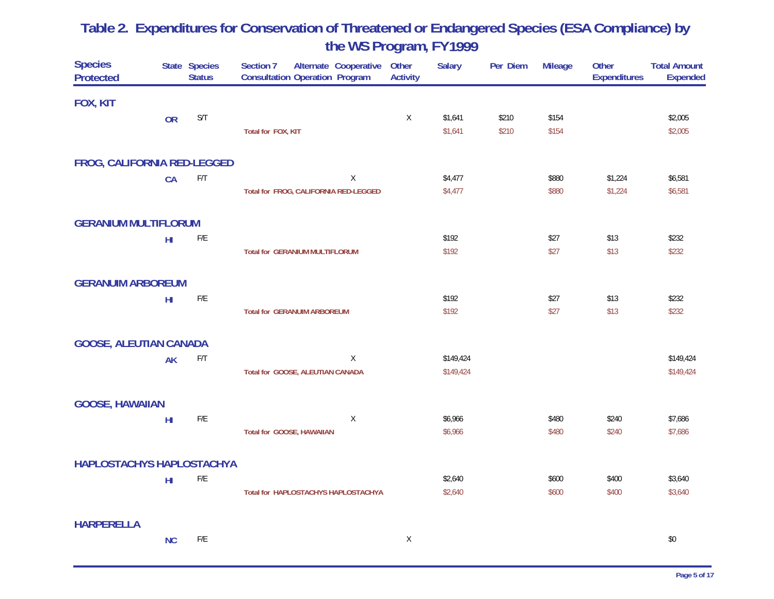| <b>Species</b><br><b>Protected</b> |                 | State Species<br><b>Status</b> | Section 7<br>Alternate Cooperative<br><b>Consultation Operation Program</b> | Other<br><b>Activity</b> | <b>Salary</b> | Per Diem | <b>Mileage</b> | Other<br><b>Expenditures</b> | <b>Total Amount</b><br><b>Expended</b> |
|------------------------------------|-----------------|--------------------------------|-----------------------------------------------------------------------------|--------------------------|---------------|----------|----------------|------------------------------|----------------------------------------|
| FOX, KIT                           |                 |                                |                                                                             |                          |               |          |                |                              |                                        |
|                                    | <b>OR</b>       | S/T                            |                                                                             | X                        | \$1,641       | \$210    | \$154          |                              | \$2,005                                |
|                                    |                 |                                | Total for FOX, KIT                                                          |                          | \$1,641       | \$210    | \$154          |                              | \$2,005                                |
| FROG, CALIFORNIA RED-LEGGED        |                 |                                |                                                                             |                          |               |          |                |                              |                                        |
|                                    | CA              | $\mathsf{F}/\mathsf{T}$        | $\mathsf X$                                                                 |                          | \$4,477       |          | \$880          | \$1,224                      | \$6,581                                |
|                                    |                 |                                | Total for FROG, CALIFORNIA RED-LEGGED                                       |                          | \$4,477       |          | \$880          | \$1,224                      | \$6,581                                |
| <b>GERANIUM MULTIFLORUM</b>        |                 |                                |                                                                             |                          |               |          |                |                              |                                        |
|                                    | $H\!I$          | $\mathsf{F}/\mathsf{E}$        |                                                                             |                          | \$192         |          | \$27           | \$13                         | \$232                                  |
|                                    |                 |                                | <b>Total for GERANIUM MULTIFLORUM</b>                                       |                          | \$192         |          | \$27           | \$13                         | \$232                                  |
| <b>GERANUIM ARBOREUM</b>           |                 |                                |                                                                             |                          |               |          |                |                              |                                        |
|                                    | H <sub>II</sub> | $\mathsf{F}/\mathsf{E}$        |                                                                             |                          | \$192         |          | \$27           | \$13                         | \$232                                  |
|                                    |                 |                                | <b>Total for GERANUIM ARBOREUM</b>                                          |                          | \$192         |          | \$27           | \$13                         | \$232                                  |
| <b>GOOSE, ALEUTIAN CANADA</b>      |                 |                                |                                                                             |                          |               |          |                |                              |                                        |
|                                    | <b>AK</b>       | F/T                            | $\mathsf X$                                                                 |                          | \$149,424     |          |                |                              | \$149,424                              |
|                                    |                 |                                | Total for GOOSE, ALEUTIAN CANADA                                            |                          | \$149,424     |          |                |                              | \$149,424                              |
| <b>GOOSE, HAWAIIAN</b>             |                 |                                |                                                                             |                          |               |          |                |                              |                                        |
|                                    | H <sub>II</sub> | $\mathsf{F}/\mathsf{E}$        | X                                                                           |                          | \$6,966       |          | \$480          | \$240                        | \$7,686                                |
|                                    |                 |                                | Total for GOOSE, HAWAIIAN                                                   |                          | \$6,966       |          | \$480          | \$240                        | \$7,686                                |
| <b>HAPLOSTACHYS HAPLOSTACHYA</b>   |                 |                                |                                                                             |                          |               |          |                |                              |                                        |
|                                    | $H\!I$          | $\mathsf{F}/\mathsf{E}$        |                                                                             |                          | \$2,640       |          | \$600          | \$400                        | \$3,640                                |
|                                    |                 |                                | Total for HAPLOSTACHYS HAPLOSTACHYA                                         |                          | \$2,640       |          | \$600          | \$400                        | \$3,640                                |
| <b>HARPERELLA</b>                  |                 |                                |                                                                             |                          |               |          |                |                              |                                        |
|                                    | <b>NC</b>       | F/E                            |                                                                             | X                        |               |          |                |                              | \$0                                    |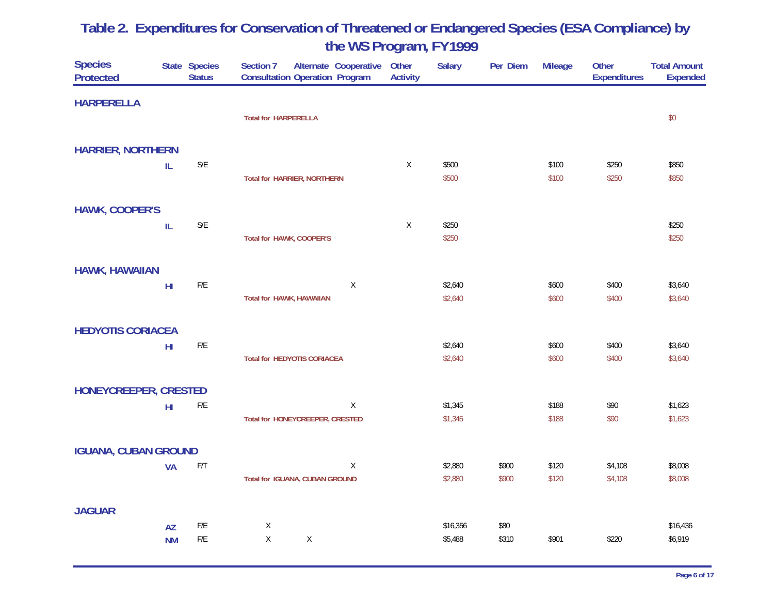| <b>Species</b><br><b>Protected</b> |                 | State Species<br><b>Status</b> | Section 7<br>Alternate Cooperative<br><b>Consultation Operation Program</b> | Other<br><b>Activity</b> | <b>Salary</b> | Per Diem | <b>Mileage</b> | Other<br><b>Expenditures</b> | <b>Total Amount</b><br><b>Expended</b> |
|------------------------------------|-----------------|--------------------------------|-----------------------------------------------------------------------------|--------------------------|---------------|----------|----------------|------------------------------|----------------------------------------|
| <b>HARPERELLA</b>                  |                 |                                |                                                                             |                          |               |          |                |                              |                                        |
|                                    |                 |                                | <b>Total for HARPERELLA</b>                                                 |                          |               |          |                |                              | \$0                                    |
| <b>HARRIER, NORTHERN</b>           |                 |                                |                                                                             |                          |               |          |                |                              |                                        |
|                                    | IL              | $\mathsf{S}/\mathsf{E}$        |                                                                             | X                        | \$500         |          | \$100          | \$250                        | \$850                                  |
|                                    |                 |                                | <b>Total for HARRIER, NORTHERN</b>                                          |                          | \$500         |          | \$100          | \$250                        | \$850                                  |
| <b>HAWK, COOPER'S</b>              |                 |                                |                                                                             |                          |               |          |                |                              |                                        |
|                                    | ${\sf IL}$      | $\mathsf{S}/\mathsf{E}$        |                                                                             | X                        | \$250         |          |                |                              | \$250                                  |
|                                    |                 |                                | Total for HAWK, COOPER'S                                                    |                          | \$250         |          |                |                              | \$250                                  |
| <b>HAWK, HAWAIIAN</b>              |                 |                                |                                                                             |                          |               |          |                |                              |                                        |
|                                    | H <sub>II</sub> | $\mathsf{F}/\mathsf{E}$        | $\mathsf X$                                                                 |                          | \$2,640       |          | \$600          | \$400                        | \$3,640                                |
|                                    |                 |                                | <b>Total for HAWK, HAWAIIAN</b>                                             |                          | \$2,640       |          | \$600          | \$400                        | \$3,640                                |
| <b>HEDYOTIS CORIACEA</b>           |                 |                                |                                                                             |                          |               |          |                |                              |                                        |
|                                    | $H\!I$          | $\mathsf{F}/\mathsf{E}$        |                                                                             |                          | \$2,640       |          | \$600          | \$400                        | \$3,640                                |
|                                    |                 |                                | <b>Total for HEDYOTIS CORIACEA</b>                                          |                          | \$2,640       |          | \$600          | \$400                        | \$3,640                                |
| HONEYCREEPER, CRESTED              |                 |                                |                                                                             |                          |               |          |                |                              |                                        |
|                                    | $H\!I$          | $\mathsf{F}/\mathsf{E}$        | X                                                                           |                          | \$1,345       |          | \$188          | \$90                         | \$1,623                                |
|                                    |                 |                                | Total for HONEYCREEPER, CRESTED                                             |                          | \$1,345       |          | \$188          | \$90                         | \$1,623                                |
| <b>IGUANA, CUBAN GROUND</b>        |                 |                                |                                                                             |                          |               |          |                |                              |                                        |
|                                    | <b>VA</b>       | $\mathsf{F}/\mathsf{T}$        | $\mathsf X$                                                                 |                          | \$2,880       | \$900    | \$120          | \$4,108                      | \$8,008                                |
|                                    |                 |                                | Total for IGUANA, CUBAN GROUND                                              |                          | \$2,880       | \$900    | \$120          | \$4,108                      | \$8,008                                |
| <b>JAGUAR</b>                      |                 |                                |                                                                             |                          |               |          |                |                              |                                        |
|                                    | <b>AZ</b>       | $\mathsf{F}/\mathsf{E}$        | $\mathsf X$                                                                 |                          | \$16,356      | \$80     |                |                              | \$16,436                               |
|                                    | <b>NM</b>       | $\mathsf{F}/\mathsf{E}$        | X<br>$\mathsf X$                                                            |                          | \$5,488       | \$310    | \$901          | \$220                        | \$6,919                                |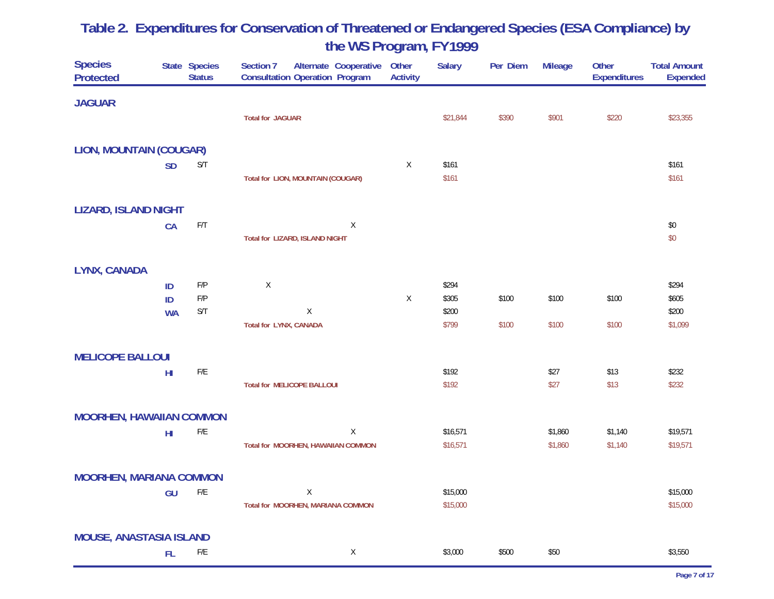| <b>Species</b><br><b>Protected</b> |                 | State Species<br><b>Status</b> | Alternate Cooperative<br>Section 7<br><b>Consultation Operation Program</b> | Other<br><b>Activity</b> | <b>Salary</b> | Per Diem | <b>Mileage</b> | Other<br><b>Expenditures</b> | <b>Total Amount</b><br><b>Expended</b> |
|------------------------------------|-----------------|--------------------------------|-----------------------------------------------------------------------------|--------------------------|---------------|----------|----------------|------------------------------|----------------------------------------|
| <b>JAGUAR</b>                      |                 |                                |                                                                             |                          |               |          |                |                              |                                        |
|                                    |                 |                                | <b>Total for JAGUAR</b>                                                     |                          | \$21,844      | \$390    | \$901          | \$220                        | \$23,355                               |
| <b>LION, MOUNTAIN (COUGAR)</b>     |                 |                                |                                                                             |                          |               |          |                |                              |                                        |
|                                    | <b>SD</b>       | $\mathsf{S}/\mathsf{T}$        |                                                                             | $\mathsf X$              | \$161         |          |                |                              | \$161                                  |
|                                    |                 |                                | Total for LION, MOUNTAIN (COUGAR)                                           |                          | \$161         |          |                |                              | \$161                                  |
| <b>LIZARD, ISLAND NIGHT</b>        |                 |                                |                                                                             |                          |               |          |                |                              |                                        |
|                                    | CA              | $\mathsf{F}/\mathsf{T}$        | $\mathsf X$                                                                 |                          |               |          |                |                              | $\$0$                                  |
|                                    |                 |                                | Total for LIZARD, ISLAND NIGHT                                              |                          |               |          |                |                              | \$0                                    |
| LYNX, CANADA                       |                 |                                |                                                                             |                          |               |          |                |                              |                                        |
|                                    | ID              | $\mathsf{F}/\mathsf{P}$        | $\mathsf X$                                                                 |                          | \$294         |          |                |                              | \$294                                  |
|                                    | ID              | $\mathsf{F}/\mathsf{P}$        |                                                                             | $\mathsf X$              | \$305         | \$100    | \$100          | \$100                        | \$605                                  |
|                                    | <b>WA</b>       | S/T                            | Χ                                                                           |                          | \$200         |          |                |                              | \$200                                  |
|                                    |                 |                                | Total for LYNX, CANADA                                                      |                          | \$799         | \$100    | \$100          | \$100                        | \$1,099                                |
| <b>MELICOPE BALLOUI</b>            |                 |                                |                                                                             |                          |               |          |                |                              |                                        |
|                                    | H <sub>II</sub> | $\mathsf{F}/\mathsf{E}$        |                                                                             |                          | \$192         |          | \$27           | \$13                         | \$232                                  |
|                                    |                 |                                | <b>Total for MELICOPE BALLOUI</b>                                           |                          | \$192         |          | \$27           | \$13                         | \$232                                  |
| <b>MOORHEN, HAWAIIAN COMMON</b>    |                 |                                |                                                                             |                          |               |          |                |                              |                                        |
|                                    | H <sub>II</sub> | $\mathsf{F}/\mathsf{E}$        | Χ                                                                           |                          | \$16,571      |          | \$1,860        | \$1,140                      | \$19,571                               |
|                                    |                 |                                | Total for MOORHEN, HAWAIIAN COMMON                                          |                          | \$16,571      |          | \$1,860        | \$1,140                      | \$19,571                               |
| <b>MOORHEN, MARIANA COMMON</b>     |                 |                                |                                                                             |                          |               |          |                |                              |                                        |
|                                    | GU              | ${\sf F/E}$                    | Χ                                                                           |                          | \$15,000      |          |                |                              | \$15,000                               |
|                                    |                 |                                | Total for MOORHEN, MARIANA COMMON                                           |                          | \$15,000      |          |                |                              | \$15,000                               |
| <b>MOUSE, ANASTASIA ISLAND</b>     |                 |                                |                                                                             |                          |               |          |                |                              |                                        |
|                                    | <b>FL</b>       | F/E                            | X                                                                           |                          | \$3,000       | \$500    | \$50           |                              | \$3,550                                |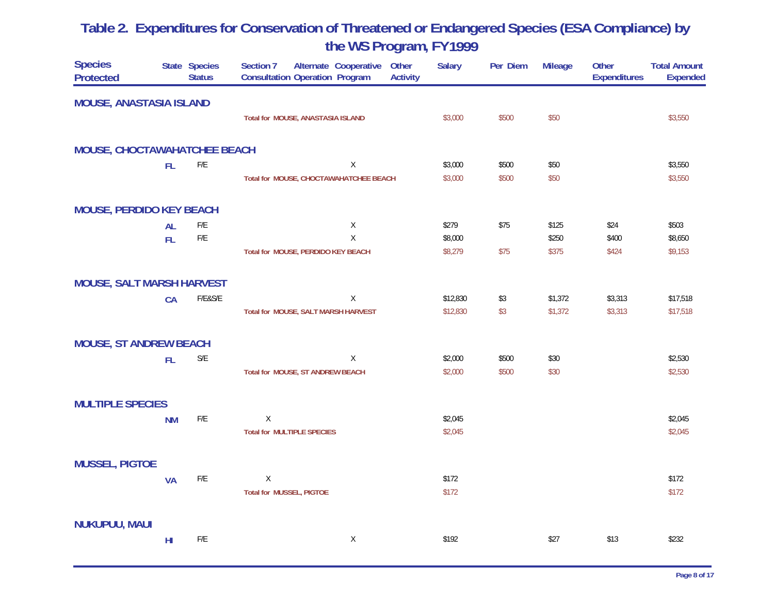| <b>Species</b><br><b>Protected</b> |                 | State Species<br><b>Status</b> | Section 7<br>Alternate Cooperative<br><b>Consultation Operation Program</b> | Other<br><b>Activity</b> | <b>Salary</b> | Per Diem | <b>Mileage</b> | Other<br><b>Expenditures</b> | <b>Total Amount</b><br><b>Expended</b> |
|------------------------------------|-----------------|--------------------------------|-----------------------------------------------------------------------------|--------------------------|---------------|----------|----------------|------------------------------|----------------------------------------|
| <b>MOUSE, ANASTASIA ISLAND</b>     |                 |                                |                                                                             |                          |               |          |                |                              |                                        |
|                                    |                 |                                | Total for MOUSE, ANASTASIA ISLAND                                           |                          | \$3,000       | \$500    | \$50           |                              | \$3,550                                |
| MOUSE, CHOCTAWAHATCHEE BEACH       |                 |                                |                                                                             |                          |               |          |                |                              |                                        |
|                                    | FL              | $\mathsf{F}/\mathsf{E}$        | $\mathsf X$                                                                 |                          | \$3,000       | \$500    | \$50           |                              | \$3,550                                |
|                                    |                 |                                | Total for MOUSE, CHOCTAWAHATCHEE BEACH                                      |                          | \$3,000       | \$500    | \$50           |                              | \$3,550                                |
| <b>MOUSE, PERDIDO KEY BEACH</b>    |                 |                                |                                                                             |                          |               |          |                |                              |                                        |
|                                    | <b>AL</b>       | $\mathsf{F}/\mathsf{E}$        | X                                                                           |                          | \$279         | \$75     | \$125          | \$24                         | \$503                                  |
|                                    | FL.             | $\mathsf{F}/\mathsf{E}$        | X                                                                           |                          | \$8,000       |          | \$250          | \$400                        | \$8,650                                |
|                                    |                 |                                | Total for MOUSE, PERDIDO KEY BEACH                                          |                          | \$8,279       | \$75     | \$375          | \$424                        | \$9,153                                |
| <b>MOUSE, SALT MARSH HARVEST</b>   |                 |                                |                                                                             |                          |               |          |                |                              |                                        |
|                                    | <b>CA</b>       | F/E&S/E                        | $\mathsf X$                                                                 |                          | \$12,830      | \$3      | \$1,372        | \$3,313                      | \$17,518                               |
|                                    |                 |                                | Total for MOUSE, SALT MARSH HARVEST                                         |                          | \$12,830      | \$3      | \$1,372        | \$3,313                      | \$17,518                               |
| <b>MOUSE, ST ANDREW BEACH</b>      |                 |                                |                                                                             |                          |               |          |                |                              |                                        |
|                                    | FL              | $\mathsf{S}/\mathsf{E}$        | $\mathsf{X}$                                                                |                          | \$2,000       | \$500    | \$30           |                              | \$2,530                                |
|                                    |                 |                                | Total for MOUSE, ST ANDREW BEACH                                            |                          | \$2,000       | \$500    | \$30           |                              | \$2,530                                |
| <b>MULTIPLE SPECIES</b>            |                 |                                |                                                                             |                          |               |          |                |                              |                                        |
|                                    | <b>NM</b>       | F/E                            | Χ                                                                           |                          | \$2,045       |          |                |                              | \$2,045                                |
|                                    |                 |                                | <b>Total for MULTIPLE SPECIES</b>                                           |                          | \$2,045       |          |                |                              | \$2,045                                |
| <b>MUSSEL, PIGTOE</b>              |                 |                                |                                                                             |                          |               |          |                |                              |                                        |
|                                    | <b>VA</b>       | $\mathsf{F}/\mathsf{E}$        | X                                                                           |                          | \$172         |          |                |                              | \$172                                  |
|                                    |                 |                                | <b>Total for MUSSEL, PIGTOE</b>                                             |                          | \$172         |          |                |                              | \$172                                  |
| <b>NUKUPUU, MAUI</b>               |                 |                                |                                                                             |                          |               |          |                |                              |                                        |
|                                    | H <sub>II</sub> | F/E                            | $\mathsf X$                                                                 |                          | \$192         |          | \$27           | \$13                         | \$232                                  |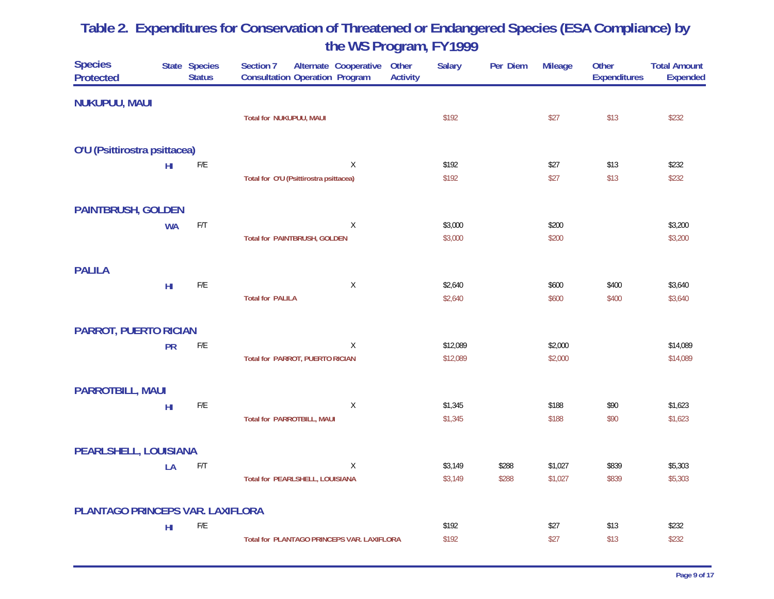| <b>Species</b><br><b>Protected</b> |                 | State Species<br><b>Status</b> | Alternate Cooperative<br>Section 7<br><b>Consultation Operation Program</b> | Other<br><b>Salary</b><br><b>Activity</b> | Per Diem | <b>Mileage</b> | Other<br><b>Expenditures</b> | <b>Total Amount</b><br><b>Expended</b> |
|------------------------------------|-----------------|--------------------------------|-----------------------------------------------------------------------------|-------------------------------------------|----------|----------------|------------------------------|----------------------------------------|
| <b>NUKUPUU, MAUI</b>               |                 |                                |                                                                             |                                           |          |                |                              |                                        |
|                                    |                 |                                | Total for NUKUPUU, MAUI                                                     | \$192                                     |          | \$27           | \$13                         | \$232                                  |
| O'U (Psittirostra psittacea)       |                 |                                |                                                                             |                                           |          |                |                              |                                        |
|                                    | H <sub>II</sub> | F/E                            | Χ                                                                           | \$192                                     |          | \$27           | \$13                         | \$232                                  |
|                                    |                 |                                | Total for O'U (Psittirostra psittacea)                                      | \$192                                     |          | \$27           | \$13                         | \$232                                  |
| <b>PAINTBRUSH, GOLDEN</b>          |                 |                                |                                                                             |                                           |          |                |                              |                                        |
|                                    | <b>WA</b>       | F/T                            | X                                                                           | \$3,000                                   |          | \$200          |                              | \$3,200                                |
|                                    |                 |                                | <b>Total for PAINTBRUSH, GOLDEN</b>                                         | \$3,000                                   |          | \$200          |                              | \$3,200                                |
| <b>PALILA</b>                      |                 |                                |                                                                             |                                           |          |                |                              |                                        |
|                                    | H <sub>II</sub> | $\mathsf{F}/\mathsf{E}$        | $\mathsf X$                                                                 | \$2,640                                   |          | \$600          | \$400                        | \$3,640                                |
|                                    |                 |                                | <b>Total for PALILA</b>                                                     | \$2,640                                   |          | \$600          | \$400                        | \$3,640                                |
| <b>PARROT, PUERTO RICIAN</b>       |                 |                                |                                                                             |                                           |          |                |                              |                                        |
|                                    | <b>PR</b>       | ${\sf F/E}$                    | X                                                                           | \$12,089                                  |          | \$2,000        |                              | \$14,089                               |
|                                    |                 |                                | <b>Total for PARROT, PUERTO RICIAN</b>                                      | \$12,089                                  |          | \$2,000        |                              | \$14,089                               |
| <b>PARROTBILL, MAUI</b>            |                 |                                |                                                                             |                                           |          |                |                              |                                        |
|                                    | H <sub>II</sub> | F/E                            | X                                                                           | \$1,345                                   |          | \$188          | \$90                         | \$1,623                                |
|                                    |                 |                                | <b>Total for PARROTBILL, MAUI</b>                                           | \$1,345                                   |          | \$188          | \$90                         | \$1,623                                |
| PEARLSHELL, LOUISIANA              |                 |                                |                                                                             |                                           |          |                |                              |                                        |
|                                    | LA              | F/T                            | X                                                                           | \$3,149                                   | \$288    | \$1,027        | \$839                        | \$5,303                                |
|                                    |                 |                                | Total for PEARLSHELL, LOUISIANA                                             | \$3,149                                   | \$288    | \$1,027        | \$839                        | \$5,303                                |
| PLANTAGO PRINCEPS VAR. LAXIFLORA   |                 |                                |                                                                             |                                           |          |                |                              |                                        |
|                                    | H <sub>II</sub> | F/E                            |                                                                             | \$192                                     |          | \$27           | \$13                         | \$232                                  |
|                                    |                 |                                | Total for PLANTAGO PRINCEPS VAR. LAXIFLORA                                  | \$192                                     |          | \$27           | \$13                         | \$232                                  |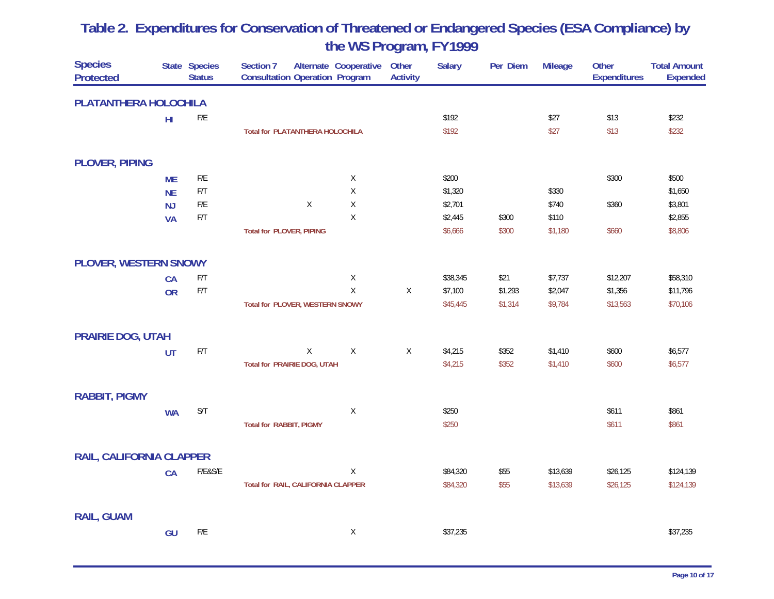| <b>Species</b><br><b>Protected</b> |           | State Species<br><b>Status</b> | Section 7<br><b>Consultation Operation Program</b> | Alternate Cooperative | Other<br><b>Activity</b> | <b>Salary</b> | Per Diem | <b>Mileage</b> | Other<br><b>Expenditures</b> | <b>Total Amount</b><br><b>Expended</b> |
|------------------------------------|-----------|--------------------------------|----------------------------------------------------|-----------------------|--------------------------|---------------|----------|----------------|------------------------------|----------------------------------------|
| PLATANTHERA HOLOCHILA              |           |                                |                                                    |                       |                          |               |          |                |                              |                                        |
|                                    | $H\!I$    | $\mathsf{F}/\mathsf{E}$        |                                                    |                       |                          | \$192         |          | \$27           | \$13                         | \$232                                  |
|                                    |           |                                | <b>Total for PLATANTHERA HOLOCHILA</b>             |                       |                          | \$192         |          | \$27           | \$13                         | \$232                                  |
| <b>PLOVER, PIPING</b>              |           |                                |                                                    |                       |                          |               |          |                |                              |                                        |
|                                    | <b>ME</b> | $\mathsf{F}/\mathsf{E}$        |                                                    | $\mathsf X$           |                          | \$200         |          |                | \$300                        | \$500                                  |
|                                    | <b>NE</b> | $\mathsf{F}/\mathsf{T}$        |                                                    | Χ                     |                          | \$1,320       |          | \$330          |                              | \$1,650                                |
|                                    | NJ        | $\mathsf{F}/\mathsf{E}$        | $\mathsf X$                                        | $\mathsf X$           |                          | \$2,701       |          | \$740          | \$360                        | \$3,801                                |
|                                    | <b>VA</b> | F/T                            |                                                    | Χ                     |                          | \$2,445       | \$300    | \$110          |                              | \$2,855                                |
|                                    |           |                                | <b>Total for PLOVER, PIPING</b>                    |                       |                          | \$6,666       | \$300    | \$1,180        | \$660                        | \$8,806                                |
| PLOVER, WESTERN SNOWY              |           |                                |                                                    |                       |                          |               |          |                |                              |                                        |
|                                    | <b>CA</b> | F/T                            |                                                    | $\mathsf X$           |                          | \$38,345      | \$21     | \$7,737        | \$12,207                     | \$58,310                               |
|                                    | <b>OR</b> | F/T                            |                                                    | $\mathsf X$           | $\mathsf X$              | \$7,100       | \$1,293  | \$2,047        | \$1,356                      | \$11,796                               |
|                                    |           |                                | Total for PLOVER, WESTERN SNOWY                    |                       |                          | \$45,445      | \$1,314  | \$9,784        | \$13,563                     | \$70,106                               |
| <b>PRAIRIE DOG, UTAH</b>           |           |                                |                                                    |                       |                          |               |          |                |                              |                                        |
|                                    | UT        | F/T                            | X                                                  | $\mathsf X$           | X                        | \$4,215       | \$352    | \$1,410        | \$600                        | \$6,577                                |
|                                    |           |                                | Total for PRAIRIE DOG, UTAH                        |                       |                          | \$4,215       | \$352    | \$1,410        | \$600                        | \$6,577                                |
| <b>RABBIT, PIGMY</b>               |           |                                |                                                    |                       |                          |               |          |                |                              |                                        |
|                                    | <b>WA</b> | S/T                            |                                                    | $\mathsf X$           |                          | \$250         |          |                | \$611                        | \$861                                  |
|                                    |           |                                | <b>Total for RABBIT, PIGMY</b>                     |                       |                          | \$250         |          |                | \$611                        | \$861                                  |
| RAIL, CALIFORNIA CLAPPER           |           |                                |                                                    |                       |                          |               |          |                |                              |                                        |
|                                    | CA        | F/E&S/E                        |                                                    | $\mathsf X$           |                          | \$84,320      | \$55     | \$13,639       | \$26,125                     | \$124,139                              |
|                                    |           |                                | Total for RAIL, CALIFORNIA CLAPPER                 |                       |                          | \$84,320      | \$55     | \$13,639       | \$26,125                     | \$124,139                              |
|                                    |           |                                |                                                    |                       |                          |               |          |                |                              |                                        |
| <b>RAIL, GUAM</b>                  |           |                                |                                                    |                       |                          |               |          |                |                              |                                        |
|                                    | GU        | ${\sf F/E}$                    |                                                    | X                     |                          | \$37,235      |          |                |                              | \$37,235                               |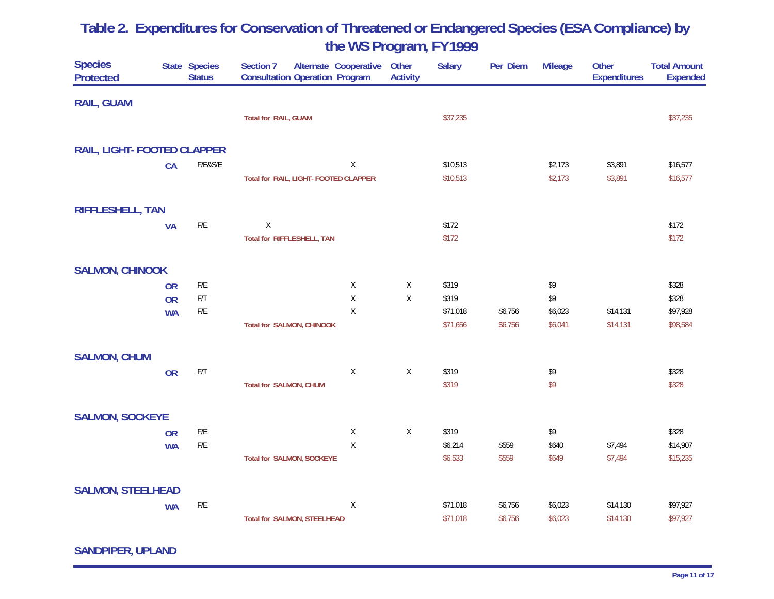| <b>Species</b><br><b>Protected</b> |           | State Species<br><b>Status</b> | <b>Section 7</b><br>Alternate Cooperative<br><b>Consultation Operation Program</b> |              | Other<br><b>Activity</b> | <b>Salary</b> | Per Diem | <b>Mileage</b> | Other<br><b>Expenditures</b> | <b>Total Amount</b><br><b>Expended</b> |
|------------------------------------|-----------|--------------------------------|------------------------------------------------------------------------------------|--------------|--------------------------|---------------|----------|----------------|------------------------------|----------------------------------------|
| <b>RAIL, GUAM</b>                  |           |                                |                                                                                    |              |                          |               |          |                |                              |                                        |
|                                    |           |                                | <b>Total for RAIL, GUAM</b>                                                        |              |                          | \$37,235      |          |                |                              | \$37,235                               |
| RAIL, LIGHT- FOOTED CLAPPER        |           |                                |                                                                                    |              |                          |               |          |                |                              |                                        |
|                                    | CA        | F/E&S/E                        |                                                                                    | X            |                          | \$10,513      |          | \$2,173        | \$3,891                      | \$16,577                               |
|                                    |           |                                | Total for RAIL, LIGHT- FOOTED CLAPPER                                              |              |                          | \$10,513      |          | \$2,173        | \$3,891                      | \$16,577                               |
| <b>RIFFLESHELL, TAN</b>            |           |                                |                                                                                    |              |                          |               |          |                |                              |                                        |
|                                    | <b>VA</b> | $\mathsf{F}/\mathsf{E}$        | $\mathsf X$                                                                        |              |                          | \$172         |          |                |                              | \$172                                  |
|                                    |           |                                | Total for RIFFLESHELL, TAN                                                         |              |                          | \$172         |          |                |                              | \$172                                  |
| <b>SALMON, CHINOOK</b>             |           |                                |                                                                                    |              |                          |               |          |                |                              |                                        |
|                                    | <b>OR</b> | F/E                            |                                                                                    | X            | X                        | \$319         |          | \$9            |                              | \$328                                  |
|                                    | <b>OR</b> | $\mathsf{F}/\mathsf{T}$        |                                                                                    | $\mathsf X$  | $\mathsf X$              | \$319         |          | \$9            |                              | \$328                                  |
|                                    | <b>WA</b> | $\mathsf{F}/\mathsf{E}$        |                                                                                    | $\mathsf{X}$ |                          | \$71,018      | \$6,756  | \$6,023        | \$14,131                     | \$97,928                               |
|                                    |           |                                | <b>Total for SALMON, CHINOOK</b>                                                   |              |                          | \$71,656      | \$6,756  | \$6,041        | \$14,131                     | \$98,584                               |
| <b>SALMON, CHUM</b>                |           |                                |                                                                                    |              |                          |               |          |                |                              |                                        |
|                                    | <b>OR</b> | ${\sf F/T}$                    |                                                                                    | X            | $\sf X$                  | \$319         |          | \$9            |                              | \$328                                  |
|                                    |           |                                | Total for SALMON, CHUM                                                             |              |                          | \$319         |          | \$9            |                              | \$328                                  |
| <b>SALMON, SOCKEYE</b>             |           |                                |                                                                                    |              |                          |               |          |                |                              |                                        |
|                                    | <b>OR</b> | $\mathsf{F}/\mathsf{E}$        |                                                                                    | X            | $\mathsf X$              | \$319         |          | \$9            |                              | \$328                                  |
|                                    | <b>WA</b> | $\mathsf{F}/\mathsf{E}$        |                                                                                    | X            |                          | \$6,214       | \$559    | \$640          | \$7,494                      | \$14,907                               |
|                                    |           |                                | <b>Total for SALMON, SOCKEYE</b>                                                   |              |                          | \$6,533       | \$559    | \$649          | \$7,494                      | \$15,235                               |
| <b>SALMON, STEELHEAD</b>           |           |                                |                                                                                    |              |                          |               |          |                |                              |                                        |
|                                    | <b>WA</b> | ${\sf F/E}$                    |                                                                                    | X            |                          | \$71,018      | \$6,756  | \$6,023        | \$14,130                     | \$97,927                               |
|                                    |           |                                | <b>Total for SALMON, STEELHEAD</b>                                                 |              |                          | \$71,018      | \$6,756  | \$6,023        | \$14,130                     | \$97,927                               |

**SANDPIPER, UPLAND**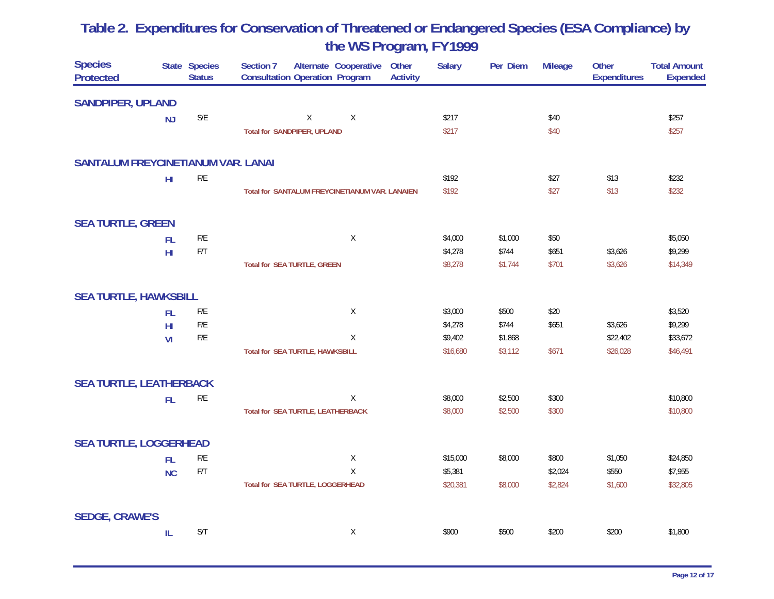| <b>Species</b><br><b>Protected</b>        |                 | State Species<br><b>Status</b> | <b>Section 7</b><br>Alternate Cooperative<br>Other<br><b>Consultation Operation Program</b><br><b>Activity</b> | <b>Salary</b> | Per Diem | <b>Mileage</b> | Other<br><b>Expenditures</b> | <b>Total Amount</b><br><b>Expended</b> |
|-------------------------------------------|-----------------|--------------------------------|----------------------------------------------------------------------------------------------------------------|---------------|----------|----------------|------------------------------|----------------------------------------|
| <b>SANDPIPER, UPLAND</b>                  |                 |                                |                                                                                                                |               |          |                |                              |                                        |
|                                           | <b>NJ</b>       | $\mathsf{S}/\mathsf{E}$        | X<br>$\sf X$                                                                                                   | \$217         |          | \$40           |                              | \$257                                  |
|                                           |                 |                                | <b>Total for SANDPIPER, UPLAND</b>                                                                             | \$217         |          | \$40           |                              | \$257                                  |
| <b>SANTALUM FREYCINETIANUM VAR. LANAI</b> |                 |                                |                                                                                                                |               |          |                |                              |                                        |
|                                           | H1              | $\mathsf{F}/\mathsf{E}$        |                                                                                                                | \$192         |          | \$27           | \$13                         | \$232                                  |
|                                           |                 |                                | Total for SANTALUM FREYCINETIANUM VAR. LANAIEN                                                                 | \$192         |          | \$27           | \$13                         | \$232                                  |
| <b>SEA TURTLE, GREEN</b>                  |                 |                                |                                                                                                                |               |          |                |                              |                                        |
|                                           | <b>FL</b>       | $\mathsf{F}/\mathsf{E}$        | $\mathsf X$                                                                                                    | \$4,000       | \$1,000  | \$50           |                              | \$5,050                                |
|                                           | H <sub>II</sub> | F/T                            |                                                                                                                | \$4,278       | \$744    | \$651          | \$3,626                      | \$9,299                                |
|                                           |                 |                                | <b>Total for SEA TURTLE, GREEN</b>                                                                             | \$8,278       | \$1,744  | \$701          | \$3,626                      | \$14,349                               |
| <b>SEA TURTLE, HAWKSBILL</b>              |                 |                                |                                                                                                                |               |          |                |                              |                                        |
|                                           | <b>FL</b>       | $\mathsf{F}/\mathsf{E}$        | X                                                                                                              | \$3,000       | \$500    | \$20           |                              | \$3,520                                |
|                                           | H <sub>II</sub> | $\mathsf{F}/\mathsf{E}$        |                                                                                                                | \$4,278       | \$744    | \$651          | \$3,626                      | \$9,299                                |
|                                           | VI              | $\mathsf{F}/\mathsf{E}$        | X                                                                                                              | \$9,402       | \$1,868  |                | \$22,402                     | \$33,672                               |
|                                           |                 |                                | Total for SEA TURTLE, HAWKSBILL                                                                                | \$16,680      | \$3,112  | \$671          | \$26,028                     | \$46,491                               |
| <b>SEA TURTLE, LEATHERBACK</b>            |                 |                                |                                                                                                                |               |          |                |                              |                                        |
|                                           | <b>FL</b>       | $\mathsf{F}/\mathsf{E}$        | Χ                                                                                                              | \$8,000       | \$2,500  | \$300          |                              | \$10,800                               |
|                                           |                 |                                | Total for SEA TURTLE, LEATHERBACK                                                                              | \$8,000       | \$2,500  | \$300          |                              | \$10,800                               |
| <b>SEA TURTLE, LOGGERHEAD</b>             |                 |                                |                                                                                                                |               |          |                |                              |                                        |
|                                           | <b>FL</b>       | $\mathsf{F}/\mathsf{E}$        | Χ                                                                                                              | \$15,000      | \$8,000  | \$800          | \$1,050                      | \$24,850                               |
|                                           | <b>NC</b>       | $\mathsf{F}/\mathsf{T}$        | X                                                                                                              | \$5,381       |          | \$2,024        | \$550                        | \$7,955                                |
|                                           |                 |                                | Total for SEA TURTLE, LOGGERHEAD                                                                               | \$20,381      | \$8,000  | \$2,824        | \$1,600                      | \$32,805                               |
| <b>SEDGE, CRAWE'S</b>                     |                 |                                |                                                                                                                |               |          |                |                              |                                        |
|                                           | $\mathsf{IL}$   | S/T                            | $\mathsf{X}$                                                                                                   | \$900         | \$500    | \$200          | \$200                        | \$1,800                                |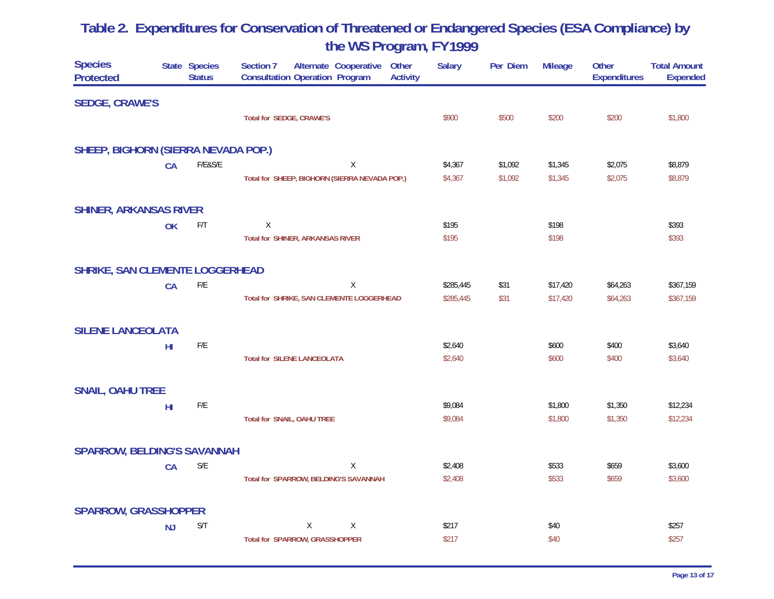| <b>Species</b><br><b>Protected</b>     |                 | State Species<br><b>Status</b> | Section 7<br>Alternate Cooperative<br>Other<br><b>Consultation Operation Program</b><br><b>Activity</b> | <b>Salary</b> | Per Diem | <b>Mileage</b> | <b>Other</b><br><b>Expenditures</b> | <b>Total Amount</b><br><b>Expended</b> |
|----------------------------------------|-----------------|--------------------------------|---------------------------------------------------------------------------------------------------------|---------------|----------|----------------|-------------------------------------|----------------------------------------|
| <b>SEDGE, CRAWE'S</b>                  |                 |                                |                                                                                                         |               |          |                |                                     |                                        |
|                                        |                 |                                | <b>Total for SEDGE, CRAWE'S</b>                                                                         | \$900         | \$500    | \$200          | \$200                               | \$1,800                                |
| SHEEP, BIGHORN (SIERRA NEVADA POP.)    |                 |                                |                                                                                                         |               |          |                |                                     |                                        |
|                                        | CA              | $F/E&S/E$                      | $\mathsf X$                                                                                             | \$4,367       | \$1,092  | \$1,345        | \$2,075                             | \$8,879                                |
|                                        |                 |                                | Total for SHEEP, BIGHORN (SIERRA NEVADA POP.)                                                           | \$4,367       | \$1,092  | \$1,345        | \$2,075                             | \$8,879                                |
| <b>SHINER, ARKANSAS RIVER</b>          |                 |                                |                                                                                                         |               |          |                |                                     |                                        |
|                                        | OK              | F/T                            | X                                                                                                       | \$195         |          | \$198          |                                     | \$393                                  |
|                                        |                 |                                | <b>Total for SHINER, ARKANSAS RIVER</b>                                                                 | \$195         |          | \$198          |                                     | \$393                                  |
| <b>SHRIKE, SAN CLEMENTE LOGGERHEAD</b> |                 |                                |                                                                                                         |               |          |                |                                     |                                        |
|                                        | <b>CA</b>       | $\mathsf{F}/\mathsf{E}$        | Χ                                                                                                       | \$285,445     | \$31     | \$17,420       | \$64,263                            | \$367,159                              |
|                                        |                 |                                | Total for SHRIKE, SAN CLEMENTE LOGGERHEAD                                                               | \$285,445     | \$31     | \$17,420       | \$64,263                            | \$367,159                              |
| <b>SILENE LANCEOLATA</b>               |                 |                                |                                                                                                         |               |          |                |                                     |                                        |
|                                        | H <sub>II</sub> | $\mathsf{F}/\mathsf{E}$        |                                                                                                         | \$2,640       |          | \$600          | \$400                               | \$3,640                                |
|                                        |                 |                                | <b>Total for SILENE LANCEOLATA</b>                                                                      | \$2,640       |          | \$600          | \$400                               | \$3,640                                |
| <b>SNAIL, OAHU TREE</b>                |                 |                                |                                                                                                         |               |          |                |                                     |                                        |
|                                        | H <sub>II</sub> | $\mathsf{F}/\mathsf{E}$        |                                                                                                         | \$9,084       |          | \$1,800        | \$1,350                             | \$12,234                               |
|                                        |                 |                                | Total for SNAIL, OAHU TREE                                                                              | \$9,084       |          | \$1,800        | \$1,350                             | \$12,234                               |
| <b>SPARROW, BELDING'S SAVANNAH</b>     |                 |                                |                                                                                                         |               |          |                |                                     |                                        |
|                                        | CA              | $\mathsf{S}/\mathsf{E}$        | Χ                                                                                                       | \$2,408       |          | \$533          | \$659                               | \$3,600                                |
|                                        |                 |                                | Total for SPARROW, BELDING'S SAVANNAH                                                                   | \$2,408       |          | \$533          | \$659                               | \$3,600                                |
| <b>SPARROW, GRASSHOPPER</b>            |                 |                                |                                                                                                         |               |          |                |                                     |                                        |
|                                        | <b>NJ</b>       | S/T                            | Χ<br>X                                                                                                  | \$217         |          | \$40           |                                     | \$257                                  |
|                                        |                 |                                | <b>Total for SPARROW, GRASSHOPPER</b>                                                                   | \$217         |          | \$40           |                                     | \$257                                  |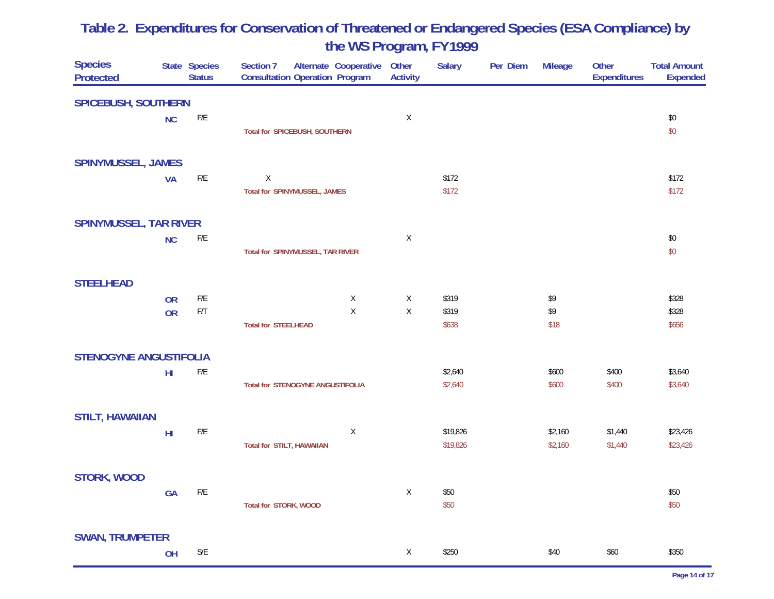| <b>Species</b><br><b>Protected</b> |                 | State Species<br><b>Status</b> | Section 7<br><b>Consultation Operation Program</b> | Alternate Cooperative | Other<br><b>Activity</b> | <b>Salary</b> | Per Diem | <b>Mileage</b> | Other<br><b>Expenditures</b> | <b>Total Amount</b><br><b>Expended</b> |
|------------------------------------|-----------------|--------------------------------|----------------------------------------------------|-----------------------|--------------------------|---------------|----------|----------------|------------------------------|----------------------------------------|
| <b>SPICEBUSH, SOUTHERN</b>         |                 |                                |                                                    |                       |                          |               |          |                |                              |                                        |
|                                    | <b>NC</b>       | $\mathsf{F}/\mathsf{E}$        |                                                    |                       | $\mathsf X$              |               |          |                |                              | \$0                                    |
|                                    |                 |                                | Total for SPICEBUSH, SOUTHERN                      |                       |                          |               |          |                |                              | \$0                                    |
| <b>SPINYMUSSEL, JAMES</b>          |                 |                                |                                                    |                       |                          |               |          |                |                              |                                        |
|                                    | <b>VA</b>       | $\mathsf{F}/\mathsf{E}$        | $\mathsf X$                                        |                       |                          | \$172         |          |                |                              | \$172                                  |
|                                    |                 |                                | Total for SPINYMUSSEL, JAMES                       |                       |                          | \$172         |          |                |                              | \$172                                  |
| <b>SPINYMUSSEL, TAR RIVER</b>      |                 |                                |                                                    |                       |                          |               |          |                |                              |                                        |
|                                    | <b>NC</b>       | $\mathsf{F}/\mathsf{E}$        |                                                    |                       | X                        |               |          |                |                              | \$0                                    |
|                                    |                 |                                | Total for SPINYMUSSEL, TAR RIVER                   |                       |                          |               |          |                |                              | \$0                                    |
| <b>STEELHEAD</b>                   |                 |                                |                                                    |                       |                          |               |          |                |                              |                                        |
|                                    | <b>OR</b>       | ${\sf F/E}$                    |                                                    | X                     | X                        | \$319         |          | \$9            |                              | \$328                                  |
|                                    | <b>OR</b>       | $\mathsf{F}/\mathsf{T}$        |                                                    | $\mathsf X$           | $\sf X$                  | \$319         |          | \$9            |                              | \$328                                  |
|                                    |                 |                                | <b>Total for STEELHEAD</b>                         |                       |                          | \$638         |          | \$18           |                              | \$656                                  |
| <b>STENOGYNE ANGUSTIFOLIA</b>      |                 |                                |                                                    |                       |                          |               |          |                |                              |                                        |
|                                    | H <sub>l</sub>  | $\mathsf{F}/\mathsf{E}$        |                                                    |                       |                          | \$2,640       |          | \$600          | \$400                        | \$3,640                                |
|                                    |                 |                                | <b>Total for STENOGYNE ANGUSTIFOLIA</b>            |                       |                          | \$2,640       |          | \$600          | \$400                        | \$3,640                                |
| <b>STILT, HAWAIIAN</b>             |                 |                                |                                                    |                       |                          |               |          |                |                              |                                        |
|                                    | H <sub>II</sub> | $\mathsf{F}/\mathsf{E}$        |                                                    | Χ                     |                          | \$19,826      |          | \$2,160        | \$1,440                      | \$23,426                               |
|                                    |                 |                                | <b>Total for STILT, HAWAIIAN</b>                   |                       |                          | \$19,826      |          | \$2,160        | \$1,440                      | \$23,426                               |
| STORK, WOOD                        |                 |                                |                                                    |                       |                          |               |          |                |                              |                                        |
|                                    | GA              | F/E                            |                                                    |                       | X                        | \$50          |          |                |                              | \$50                                   |
|                                    |                 |                                | Total for STORK, WOOD                              |                       |                          | \$50          |          |                |                              | \$50                                   |
| <b>SWAN, TRUMPETER</b>             |                 |                                |                                                    |                       |                          |               |          |                |                              |                                        |
|                                    | OH              | $\mathsf{S}/\mathsf{E}$        |                                                    |                       | X                        | \$250         |          | \$40           | \$60                         | \$350                                  |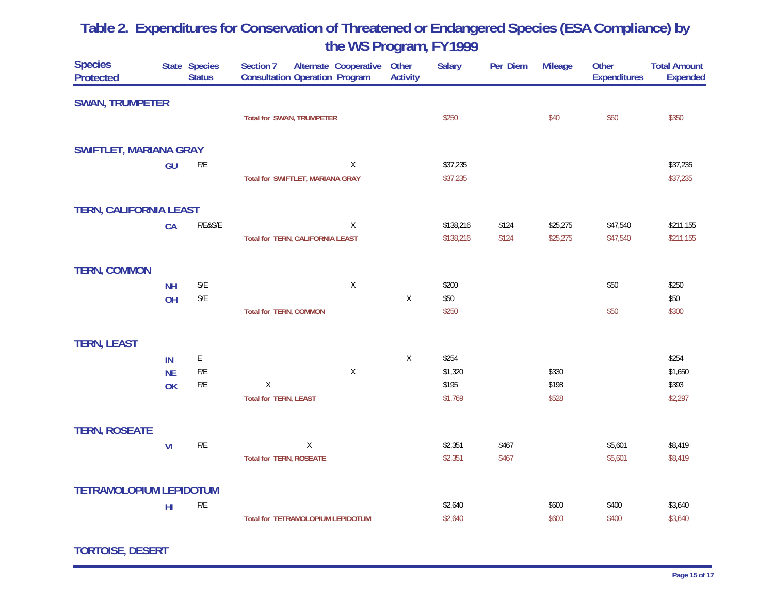| <b>Species</b><br><b>Protected</b> |                 | State Species<br><b>Status</b> | Section 7<br>Alternate Cooperative<br><b>Consultation Operation Program</b> | Other<br><b>Activity</b> | <b>Salary</b> | Per Diem | <b>Mileage</b> | Other<br><b>Expenditures</b> | <b>Total Amount</b><br><b>Expended</b> |
|------------------------------------|-----------------|--------------------------------|-----------------------------------------------------------------------------|--------------------------|---------------|----------|----------------|------------------------------|----------------------------------------|
| <b>SWAN, TRUMPETER</b>             |                 |                                |                                                                             |                          |               |          |                |                              |                                        |
|                                    |                 |                                | <b>Total for SWAN, TRUMPETER</b>                                            |                          | \$250         |          | \$40           | \$60                         | \$350                                  |
| <b>SWIFTLET, MARIANA GRAY</b>      |                 |                                |                                                                             |                          |               |          |                |                              |                                        |
|                                    | GU              | F/E                            | X                                                                           |                          | \$37,235      |          |                |                              | \$37,235                               |
|                                    |                 |                                | Total for SWIFTLET, MARIANA GRAY                                            |                          | \$37,235      |          |                |                              | \$37,235                               |
| <b>TERN, CALIFORNIA LEAST</b>      |                 |                                |                                                                             |                          |               |          |                |                              |                                        |
|                                    | CA              | F/E&S/E                        | X                                                                           |                          | \$138,216     | \$124    | \$25,275       | \$47,540                     | \$211,155                              |
|                                    |                 |                                | Total for TERN, CALIFORNIA LEAST                                            |                          | \$138,216     | \$124    | \$25,275       | \$47,540                     | \$211,155                              |
| <b>TERN, COMMON</b>                |                 |                                |                                                                             |                          |               |          |                |                              |                                        |
|                                    | <b>NH</b>       | $\mathsf{S}/\mathsf{E}$        | $\mathsf X$                                                                 |                          | \$200         |          |                | \$50                         | \$250                                  |
|                                    | OH              | $\mathsf{S}/\mathsf{E}$        |                                                                             | Χ                        | \$50          |          |                |                              | \$50                                   |
|                                    |                 |                                | <b>Total for TERN, COMMON</b>                                               |                          | \$250         |          |                | \$50                         | \$300                                  |
| <b>TERN, LEAST</b>                 |                 |                                |                                                                             |                          |               |          |                |                              |                                        |
|                                    | IN              | E                              |                                                                             | $\mathsf{X}$             | \$254         |          |                |                              | \$254                                  |
|                                    | <b>NE</b>       | $F/E$                          | X                                                                           |                          | \$1,320       |          | \$330          |                              | \$1,650                                |
|                                    | OK              | $\mathsf{F}/\mathsf{E}$        | $\mathsf X$                                                                 |                          | \$195         |          | \$198          |                              | \$393                                  |
|                                    |                 |                                | <b>Total for TERN, LEAST</b>                                                |                          | \$1,769       |          | \$528          |                              | \$2,297                                |
| <b>TERN, ROSEATE</b>               |                 |                                |                                                                             |                          |               |          |                |                              |                                        |
|                                    | VI              | ${\sf F/E}$                    | X                                                                           |                          | \$2,351       | \$467    |                | \$5,601                      | \$8,419                                |
|                                    |                 |                                | <b>Total for TERN, ROSEATE</b>                                              |                          | \$2,351       | \$467    |                | \$5,601                      | \$8,419                                |
| <b>TETRAMOLOPIUM LEPIDOTUM</b>     |                 |                                |                                                                             |                          |               |          |                |                              |                                        |
|                                    | H <sub>II</sub> | $\mathsf{F}/\mathsf{E}$        |                                                                             |                          | \$2,640       |          | \$600          | \$400                        | \$3,640                                |
|                                    |                 |                                | Total for TETRAMOLOPIUM LEPIDOTUM                                           |                          | \$2,640       |          | \$600          | \$400                        | \$3,640                                |

**TORTOISE, DESERT**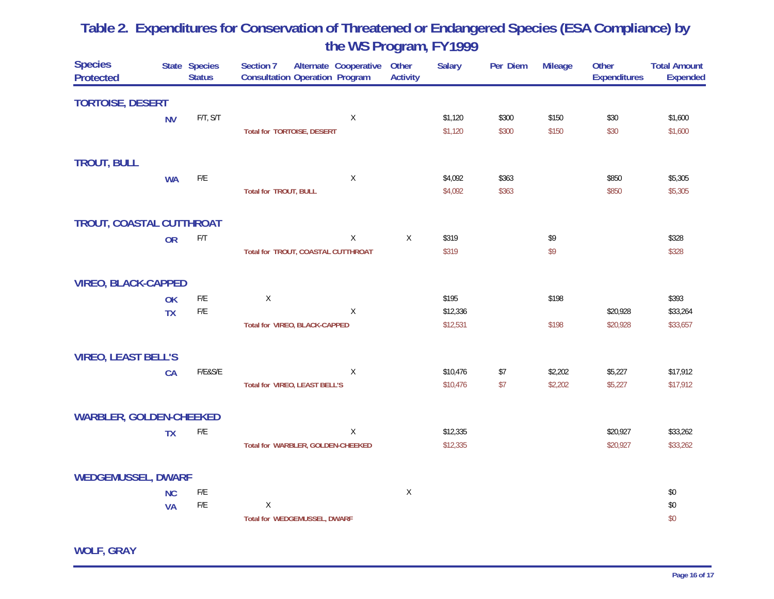| <b>Species</b><br><b>Protected</b> |           | State Species<br><b>Status</b> | Section 7<br>Alternate Cooperative<br><b>Consultation Operation Program</b> | Other<br><b>Activity</b> | <b>Salary</b> | Per Diem | <b>Mileage</b> | Other<br><b>Expenditures</b> | <b>Total Amount</b><br><b>Expended</b> |
|------------------------------------|-----------|--------------------------------|-----------------------------------------------------------------------------|--------------------------|---------------|----------|----------------|------------------------------|----------------------------------------|
| <b>TORTOISE, DESERT</b>            |           |                                |                                                                             |                          |               |          |                |                              |                                        |
|                                    | <b>NV</b> | $F/T$ , $S/T$                  | X                                                                           |                          | \$1,120       | \$300    | \$150          | \$30                         | \$1,600                                |
|                                    |           |                                | <b>Total for TORTOISE, DESERT</b>                                           |                          | \$1,120       | \$300    | \$150          | \$30                         | \$1,600                                |
| <b>TROUT, BULL</b>                 |           |                                |                                                                             |                          |               |          |                |                              |                                        |
|                                    | <b>WA</b> | ${\sf F/E}$                    | $\mathsf X$                                                                 |                          | \$4,092       | \$363    |                | \$850                        | \$5,305                                |
|                                    |           |                                | <b>Total for TROUT, BULL</b>                                                |                          | \$4,092       | \$363    |                | \$850                        | \$5,305                                |
| TROUT, COASTAL CUTTHROAT           |           |                                |                                                                             |                          |               |          |                |                              |                                        |
|                                    | <b>OR</b> | F/T                            | Χ                                                                           | $\sf X$                  | \$319         |          | \$9            |                              | \$328                                  |
|                                    |           |                                | Total for TROUT, COASTAL CUTTHROAT                                          |                          | \$319         |          | \$9            |                              | \$328                                  |
| <b>VIREO, BLACK-CAPPED</b>         |           |                                |                                                                             |                          |               |          |                |                              |                                        |
|                                    | OK        | $\mathsf{F}/\mathsf{E}$        | $\mathsf X$                                                                 |                          | \$195         |          | \$198          |                              | \$393                                  |
|                                    | <b>TX</b> | $\mathsf{F}/\mathsf{E}$        | Χ                                                                           |                          | \$12,336      |          |                | \$20,928                     | \$33,264                               |
|                                    |           |                                | Total for VIREO, BLACK-CAPPED                                               |                          | \$12,531      |          | \$198          | \$20,928                     | \$33,657                               |
| <b>VIREO, LEAST BELL'S</b>         |           |                                |                                                                             |                          |               |          |                |                              |                                        |
|                                    | <b>CA</b> | F/E&S/E                        | Χ                                                                           |                          | \$10,476      | \$7      | \$2,202        | \$5,227                      | \$17,912                               |
|                                    |           |                                | Total for VIREO, LEAST BELL'S                                               |                          | \$10,476      | \$7      | \$2,202        | \$5,227                      | \$17,912                               |
| <b>WARBLER, GOLDEN-CHEEKED</b>     |           |                                |                                                                             |                          |               |          |                |                              |                                        |
|                                    | <b>TX</b> | $\mathsf{F}/\mathsf{E}$        | Χ                                                                           |                          | \$12,335      |          |                | \$20,927                     | \$33,262                               |
|                                    |           |                                | Total for WARBLER, GOLDEN-CHEEKED                                           |                          | \$12,335      |          |                | \$20,927                     | \$33,262                               |
| <b>WEDGEMUSSEL, DWARF</b>          |           |                                |                                                                             |                          |               |          |                |                              |                                        |
|                                    | <b>NC</b> | $\mathsf{F}/\mathsf{E}$        |                                                                             | $\mathsf{X}$             |               |          |                |                              | \$0                                    |
|                                    | <b>VA</b> | $\mathsf{F}/\mathsf{E}$        | Χ                                                                           |                          |               |          |                |                              | \$0                                    |
|                                    |           |                                | Total for WEDGEMUSSEL, DWARF                                                |                          |               |          |                |                              | \$0                                    |

**WOLF, GRAY**